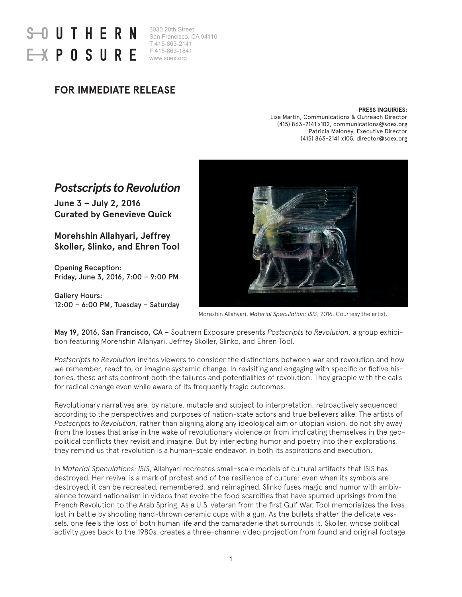# UTHERN POSUR

3030 20th Street San Francisco, CA 94110 T 415-863-2141 F 415-863-1841 www.soex.org

### **FOR IMMEDIATE RELEASE**

#### **PRESS INQUIRIES:**

Lisa Martin, Communications & Outreach Director (415) 863-2141 x102, communications@soex.org Patricia Maloney, Executive Director (415) 863-2141 x105, director@soex.org

## *Postscripts to Revolution*

**June 3 – July 2, 2016 Curated by Genevieve Quick**

**Morehshin Allahyari, Jeffrey Skoller, Slinko, and Ehren Tool**

Opening Reception: Friday, June 3, 2016, 7:00 – 9:00 PM

Gallery Hours: 12:00 – 6:00 PM, Tuesday – Saturday



Moreshin Allahyari, *Material Speculation: ISIS*, 2016. Courtesy the artist.

May 19, 2016, San Francisco, CA – Southern Exposure presents *Postscripts to Revolution*, a group exhibition featuring Morehshin Allahyari, Jeffrey Skoller, Slinko, and Ehren Tool.

*Postscripts to Revolution* invites viewers to consider the distinctions between war and revolution and how we remember, react to, or imagine systemic change. In revisiting and engaging with specific or fictive histories, these artists confront both the failures and potentialities of revolution. They grapple with the calls for radical change even while aware of its frequently tragic outcomes.

Revolutionary narratives are, by nature, mutable and subject to interpretation, retroactively sequenced according to the perspectives and purposes of nation-state actors and true believers alike. The artists of *Postscripts to Revolution*, rather than aligning along any ideological aim or utopian vision, do not shy away from the losses that arise in the wake of revolutionary violence or from implicating themselves in the geopolitical conflicts they revisit and imagine. But by interjecting humor and poetry into their explorations, they remind us that revolution is a human-scale endeavor, in both its aspirations and execution.

In *Material Speculations: ISIS*, Allahyari recreates small-scale models of cultural artifacts that ISIS has destroyed. Her revival is a mark of protest and of the resilience of culture: even when its symbols are destroyed, it can be recreated, remembered, and reimagined. Slinko fuses magic and humor with ambivalence toward nationalism in videos that evoke the food scarcities that have spurred uprisings from the French Revolution to the Arab Spring. As a U.S. veteran from the first Gulf War, Tool memorializes the lives lost in battle by shooting hand-thrown ceramic cups with a gun. As the bullets shatter the delicate vessels, one feels the loss of both human life and the camaraderie that surrounds it. Skoller, whose political activity goes back to the 1980s, creates a three-channel video projection from found and original footage